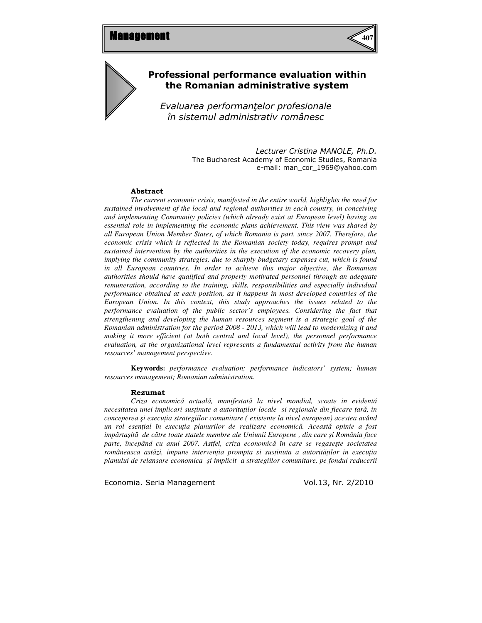

## Professional performance evaluation within the Romanian administrative system

Evaluarea performantelor profesionale în sistemul administrativ românesc

> Lecturer Cristina MANOLE, Ph.D. The Bucharest Academy of Economic Studies, Romania e-mail: man\_cor\_1969@yahoo.com

#### Abstract

*The current economic crisis, manifested in the entire world, highlights the need for sustained involvement of the local and regional authorities in each country, in conceiving and implementing Community policies (which already exist at European level) having an essential role in implementing the economic plans achievement. This view was shared by all European Union Member States, of which Romania is part, since 2007. Therefore, the economic crisis which is reflected in the Romanian society today, requires prompt and sustained intervention by the authorities in the execution of the economic recovery plan, implying the community strategies, due to sharply budgetary expenses cut, which is found in all European countries. In order to achieve this major objective, the Romanian authorities should have qualified and properly motivated personnel through an adequate remuneration, according to the training, skills, responsibilities and especially individual performance obtained at each position, as it happens in most developed countries of the European Union. In this context, this study approaches the issues related to the performance evaluation of the public sector's employees. Considering the fact that strengthening and developing the human resources segment is a strategic goal of the Romanian administration for the period 2008 - 2013, which will lead to modernizing it and making it more efficient (at both central and local level), the personnel performance evaluation, at the organizational level represents a fundamental activity from the human resources' management perspective.* 

**Keywords:** *performance evaluation; performance indicators' system; human resources management; Romanian administration.*

#### Rezumat

*Criza economic*ă *actual*ă*, manifestat*ă *la nivel mondial, scoate in evident*ă *necesitatea unei implicari sus*ţ*inute a autorita*ţ*ilor locale si regionale din fiecare* ţ*ar*ă*, in conceperea* ş*i execu*ţ*ia strategiilor comunitare ( existente la nivel european) acestea având un rol esen*ţ*ial în execu*ţ*ia planurilor de realizare economic*ă*. Aceast*ă *opinie a fost imp*ă*rta*ş*it*ă *de c*ă*tre toate statele membre ale Uniunii Europene , din care* ş*i România face parte, începând cu anul 2007. Astfel, criza economic*ă *în care se regase*ş*te societatea româneasca ast*ă*zi, impune interven*ţ*ia prompta si sus*ţ*inuta a autorit*ăţ*ilor in execu*ţ*ia planului de relansare economica* ş*i implicit a strategiilor comunitare, pe fondul reducerii*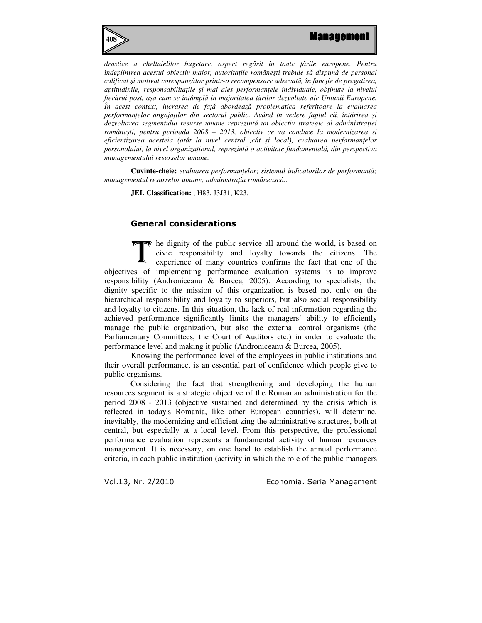

*drastice a cheltuielilor bugetare, aspect reg*ă*sit in toate* ţă*rile europene. Pentru îndeplinirea acestui obiectiv major, autorita*ţ*ile române*ş*ti trebuie s*ă *dispun*ă *de personal calificat* ş*i motivat corespunz*ă*tor printr-o recompensare adecvat*ă*, în func*ţ*ie de pregatirea, aptitudinile, responsabilita*ţ*ile* ş*i mai ales performan*ţ*ele individuale, ob*ţ*inute la nivelul fiec*ă*rui post, a*ş*a cum se întâmpl*ă *în majoritatea* ţă*rilor dezvoltate ale Uniunii Europene. În acest context, lucrarea de fa*ţă *abordeaz*ă *problematica referitoare la evaluarea performan*ţ*elor angaja*ţ*ilor din sectorul public. Având în vedere faptul c*ă*, înt*ă*rirea* ş*i dezvoltarea segmentului resurse umane reprezint*ă *un obiectiv strategic al administra*ţ*iei române*ş*ti, pentru perioada 2008 – 2013, obiectiv ce va conduce la modernizarea si eficientizarea acesteia (atât la nivel central ,cât* ş*i local), evaluarea performan*ţ*elor personalului, la nivel organiza*ţ*ional, reprezint*ă *o activitate fundamental*ă*, din perspectiva managementului resurselor umane.* 

**Cuvinte-cheie:** *evaluarea performan*ţ*elor; sistemul indicatorilor de performan*ţă*; managementul resurselor umane; administratia românească..* 

**JEL Classification:** , H83, J3J31, K23.

## General considerations

 $\blacktriangledown$  he dignity of the public service all around the world, is based on civic responsibility and loyalty towards the citizens. The experience of many countries confirms the fact that one of the objectives of implementing performance evaluation systems is to improve responsibility (Androniceanu & Burcea, 2005). According to specialists, the dignity specific to the mission of this organization is based not only on the hierarchical responsibility and loyalty to superiors, but also social responsibility and loyalty to citizens. In this situation, the lack of real information regarding the achieved performance significantly limits the managers' ability to efficiently manage the public organization, but also the external control organisms (the Parliamentary Committees, the Court of Auditors etc.) in order to evaluate the performance level and making it public (Androniceanu & Burcea, 2005). T

 Knowing the performance level of the employees in public institutions and their overall performance, is an essential part of confidence which people give to public organisms.

Considering the fact that strengthening and developing the human resources segment is a strategic objective of the Romanian administration for the period 2008 - 2013 (objective sustained and determined by the crisis which is reflected in today's Romania, like other European countries), will determine, inevitably, the modernizing and efficient zing the administrative structures, both at central, but especially at a local level. From this perspective, the professional performance evaluation represents a fundamental activity of human resources management. It is necessary, on one hand to establish the annual performance criteria, in each public institution (activity in which the role of the public managers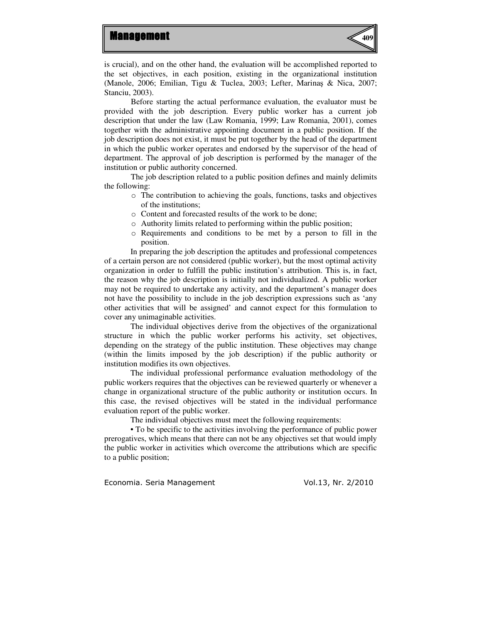

is crucial), and on the other hand, the evaluation will be accomplished reported to the set objectives, in each position, existing in the organizational institution (Manole, 2006; Emilian, Tigu & Tuclea, 2003; Lefter, Marinaş & Nica, 2007; Stanciu, 2003).

 Before starting the actual performance evaluation, the evaluator must be provided with the job description. Every public worker has a current job description that under the law (Law Romania, 1999; Law Romania, 2001), comes together with the administrative appointing document in a public position. If the job description does not exist, it must be put together by the head of the department in which the public worker operates and endorsed by the supervisor of the head of department. The approval of job description is performed by the manager of the institution or public authority concerned.

 The job description related to a public position defines and mainly delimits the following:

- o The contribution to achieving the goals, functions, tasks and objectives of the institutions;
- o Content and forecasted results of the work to be done;
- o Authority limits related to performing within the public position;
- o Requirements and conditions to be met by a person to fill in the position.

In preparing the job description the aptitudes and professional competences of a certain person are not considered (public worker), but the most optimal activity organization in order to fulfill the public institution's attribution. This is, in fact, the reason why the job description is initially not individualized. A public worker may not be required to undertake any activity, and the department's manager does not have the possibility to include in the job description expressions such as 'any other activities that will be assigned' and cannot expect for this formulation to cover any unimaginable activities.

The individual objectives derive from the objectives of the organizational structure in which the public worker performs his activity, set objectives, depending on the strategy of the public institution. These objectives may change (within the limits imposed by the job description) if the public authority or institution modifies its own objectives.

The individual professional performance evaluation methodology of the public workers requires that the objectives can be reviewed quarterly or whenever a change in organizational structure of the public authority or institution occurs. In this case, the revised objectives will be stated in the individual performance evaluation report of the public worker.

The individual objectives must meet the following requirements:

• To be specific to the activities involving the performance of public power prerogatives, which means that there can not be any objectives set that would imply the public worker in activities which overcome the attributions which are specific to a public position;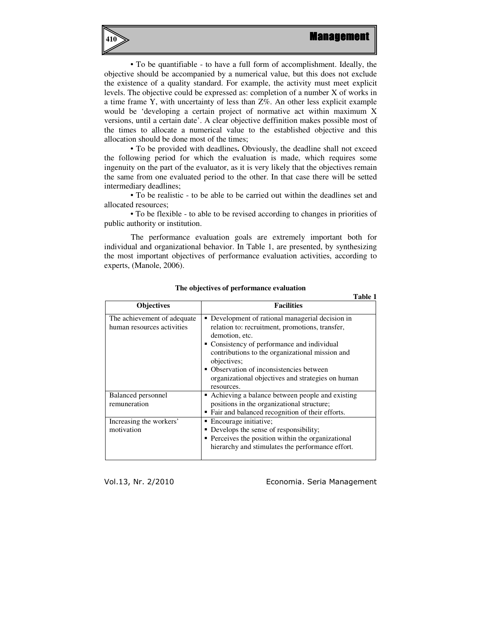

• To be quantifiable - to have a full form of accomplishment. Ideally, the objective should be accompanied by a numerical value, but this does not exclude the existence of a quality standard. For example, the activity must meet explicit levels. The objective could be expressed as: completion of a number X of works in a time frame Y, with uncertainty of less than Z%. An other less explicit example would be 'developing a certain project of normative act within maximum X versions, until a certain date'. A clear objective deffinition makes possible most of the times to allocate a numerical value to the established objective and this allocation should be done most of the times;

• To be provided with deadlines**.** Obviously, the deadline shall not exceed the following period for which the evaluation is made, which requires some ingenuity on the part of the evaluator, as it is very likely that the objectives remain the same from one evaluated period to the other. In that case there will be setted intermediary deadlines;

• To be realistic - to be able to be carried out within the deadlines set and allocated resources;

• To be flexible - to able to be revised according to changes in priorities of public authority or institution.

The performance evaluation goals are extremely important both for individual and organizational behavior. In Table 1, are presented, by synthesizing the most important objectives of performance evaluation activities, according to experts, (Manole, 2006).

|                                                           | Table 1                                                                                                                                                                                                                                                                                                                                               |
|-----------------------------------------------------------|-------------------------------------------------------------------------------------------------------------------------------------------------------------------------------------------------------------------------------------------------------------------------------------------------------------------------------------------------------|
| <b>Objectives</b>                                         | <b>Facilities</b>                                                                                                                                                                                                                                                                                                                                     |
| The achievement of adequate<br>human resources activities | • Development of rational managerial decision in<br>relation to: recruitment, promotions, transfer,<br>demotion, etc.<br>• Consistency of performance and individual<br>contributions to the organizational mission and<br>objectives;<br>• Observation of inconsistencies between<br>organizational objectives and strategies on human<br>resources. |
| <b>Balanced</b> personnel<br>remuneration                 | Achieving a balance between people and existing<br>positions in the organizational structure;<br>• Fair and balanced recognition of their efforts.                                                                                                                                                                                                    |
| Increasing the workers'<br>motivation                     | • Encourage initiative;<br>• Develops the sense of responsibility;<br>• Perceives the position within the organizational<br>hierarchy and stimulates the performance effort.                                                                                                                                                                          |

#### **The objectives of performance evaluation**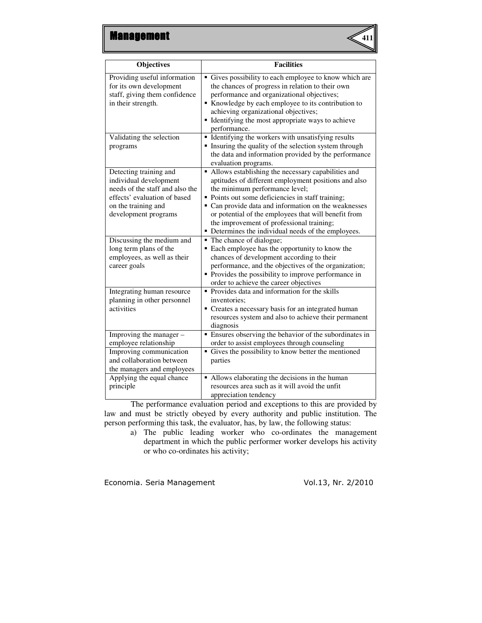

| <b>Objectives</b>                                                                                                                                                  | <b>Facilities</b>                                                                                                                                                                                                                                                                                                                                                                                                       |
|--------------------------------------------------------------------------------------------------------------------------------------------------------------------|-------------------------------------------------------------------------------------------------------------------------------------------------------------------------------------------------------------------------------------------------------------------------------------------------------------------------------------------------------------------------------------------------------------------------|
| Providing useful information<br>for its own development<br>staff, giving them confidence<br>in their strength.                                                     | • Gives possibility to each employee to know which are<br>the chances of progress in relation to their own<br>performance and organizational objectives;<br>Knowledge by each employee to its contribution to<br>achieving organizational objectives;<br>• Identifying the most appropriate ways to achieve<br>performance.                                                                                             |
| Validating the selection<br>programs                                                                                                                               | • Identifying the workers with unsatisfying results<br>Insuring the quality of the selection system through<br>the data and information provided by the performance<br>evaluation programs.                                                                                                                                                                                                                             |
| Detecting training and<br>individual development<br>needs of the staff and also the<br>effects' evaluation of based<br>on the training and<br>development programs | • Allows establishing the necessary capabilities and<br>aptitudes of different employment positions and also<br>the minimum performance level;<br>• Points out some deficiencies in staff training;<br>• Can provide data and information on the weaknesses<br>or potential of the employees that will benefit from<br>the improvement of professional training;<br>• Determines the individual needs of the employees. |
| Discussing the medium and<br>long term plans of the<br>employees, as well as their<br>career goals                                                                 | • The chance of dialogue;<br>• Each employee has the opportunity to know the<br>chances of development according to their<br>performance, and the objectives of the organization;<br>• Provides the possibility to improve performance in<br>order to achieve the career objectives                                                                                                                                     |
| Integrating human resource<br>planning in other personnel<br>activities                                                                                            | • Provides data and information for the skills<br>inventories:<br>• Creates a necessary basis for an integrated human<br>resources system and also to achieve their permanent<br>diagnosis                                                                                                                                                                                                                              |
| Improving the manager -<br>employee relationship                                                                                                                   | • Ensures observing the behavior of the subordinates in<br>order to assist employees through counseling                                                                                                                                                                                                                                                                                                                 |
| Improving communication<br>and collaboration between<br>the managers and employees                                                                                 | • Gives the possibility to know better the mentioned<br>parties                                                                                                                                                                                                                                                                                                                                                         |
| Applying the equal chance<br>principle                                                                                                                             | • Allows elaborating the decisions in the human<br>resources area such as it will avoid the unfit<br>appreciation tendency                                                                                                                                                                                                                                                                                              |

 The performance evaluation period and exceptions to this are provided by law and must be strictly obeyed by every authority and public institution. The person performing this task, the evaluator, has, by law, the following status:

a) The public leading worker who co-ordinates the management department in which the public performer worker develops his activity or who co-ordinates his activity;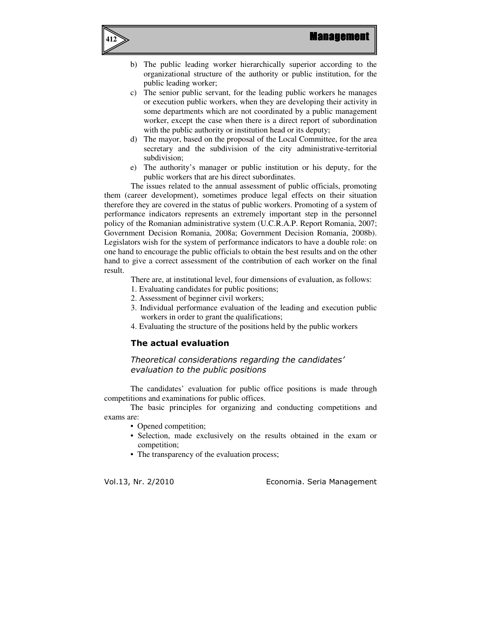



- b) The public leading worker hierarchically superior according to the organizational structure of the authority or public institution, for the public leading worker;
- c) The senior public servant, for the leading public workers he manages or execution public workers, when they are developing their activity in some departments which are not coordinated by a public management worker, except the case when there is a direct report of subordination with the public authority or institution head or its deputy;
- d) The mayor, based on the proposal of the Local Committee, for the area secretary and the subdivision of the city administrative-territorial subdivision;
- e) The authority's manager or public institution or his deputy, for the public workers that are his direct subordinates.

 The issues related to the annual assessment of public officials, promoting them (career development), sometimes produce legal effects on their situation therefore they are covered in the status of public workers. Promoting of a system of performance indicators represents an extremely important step in the personnel policy of the Romanian administrative system (U.C.R.A.P. Report Romania, 2007; Government Decision Romania, 2008a; Government Decision Romania, 2008b). Legislators wish for the system of performance indicators to have a double role: on one hand to encourage the public officials to obtain the best results and on the other hand to give a correct assessment of the contribution of each worker on the final result.

There are, at institutional level, four dimensions of evaluation, as follows:

- 1. Evaluating candidates for public positions;
- 2. Assessment of beginner civil workers;
- 3. Individual performance evaluation of the leading and execution public workers in order to grant the qualifications;
- 4. Evaluating the structure of the positions held by the public workers

## The actual evaluation

Theoretical considerations regarding the candidates' evaluation to the public positions

The candidates' evaluation for public office positions is made through competitions and examinations for public offices.

The basic principles for organizing and conducting competitions and exams are:

- Opened competition;
- Selection, made exclusively on the results obtained in the exam or competition;
- The transparency of the evaluation process;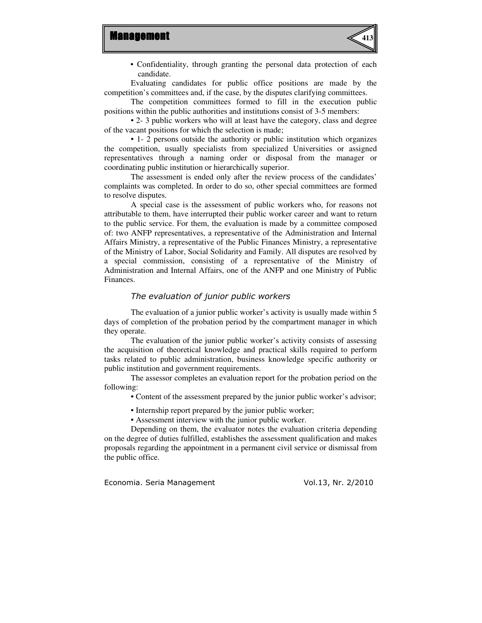

• Confidentiality, through granting the personal data protection of each candidate.

 Evaluating candidates for public office positions are made by the competition's committees and, if the case, by the disputes clarifying committees.

The competition committees formed to fill in the execution public positions within the public authorities and institutions consist of 3-5 members:

 • 2- 3 public workers who will at least have the category, class and degree of the vacant positions for which the selection is made;

 • 1- 2 persons outside the authority or public institution which organizes the competition, usually specialists from specialized Universities or assigned representatives through a naming order or disposal from the manager or coordinating public institution or hierarchically superior.

 The assessment is ended only after the review process of the candidates' complaints was completed. In order to do so, other special committees are formed to resolve disputes.

 A special case is the assessment of public workers who, for reasons not attributable to them, have interrupted their public worker career and want to return to the public service. For them, the evaluation is made by a committee composed of: two ANFP representatives, a representative of the Administration and Internal Affairs Ministry, a representative of the Public Finances Ministry, a representative of the Ministry of Labor, Social Solidarity and Family. All disputes are resolved by a special commission, consisting of a representative of the Ministry of Administration and Internal Affairs, one of the ANFP and one Ministry of Public Finances.

## The evaluation of junior public workers

 The evaluation of a junior public worker's activity is usually made within 5 days of completion of the probation period by the compartment manager in which they operate.

 The evaluation of the junior public worker's activity consists of assessing the acquisition of theoretical knowledge and practical skills required to perform tasks related to public administration, business knowledge specific authority or public institution and government requirements.

 The assessor completes an evaluation report for the probation period on the following:

• Content of the assessment prepared by the junior public worker's advisor;

- Internship report prepared by the junior public worker;
- Assessment interview with the junior public worker.

 Depending on them, the evaluator notes the evaluation criteria depending on the degree of duties fulfilled, establishes the assessment qualification and makes proposals regarding the appointment in a permanent civil service or dismissal from the public office.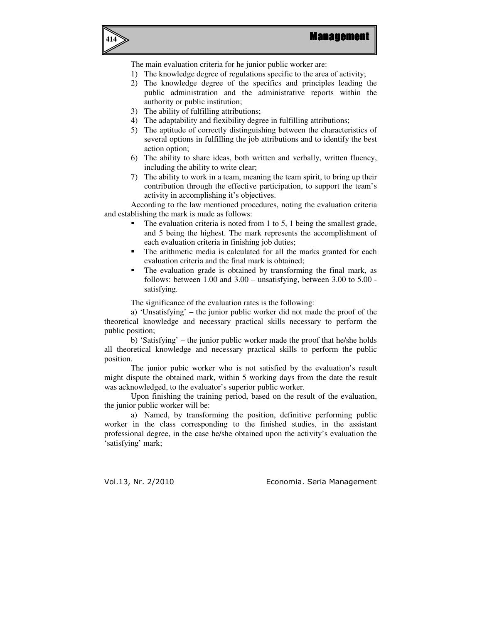



The main evaluation criteria for he junior public worker are:

- 1) The knowledge degree of regulations specific to the area of activity;
- 2) The knowledge degree of the specifics and principles leading the public administration and the administrative reports within the authority or public institution;
- 3) The ability of fulfilling attributions;
- 4) The adaptability and flexibility degree in fulfilling attributions;
- 5) The aptitude of correctly distinguishing between the characteristics of several options in fulfilling the job attributions and to identify the best action option;
- 6) The ability to share ideas, both written and verbally, written fluency, including the ability to write clear;
- 7) The ability to work in a team, meaning the team spirit, to bring up their contribution through the effective participation, to support the team's activity in accomplishing it's objectives.

 According to the law mentioned procedures, noting the evaluation criteria and establishing the mark is made as follows:

- The evaluation criteria is noted from 1 to 5, 1 being the smallest grade, and 5 being the highest. The mark represents the accomplishment of each evaluation criteria in finishing job duties;
- The arithmetic media is calculated for all the marks granted for each evaluation criteria and the final mark is obtained;
- The evaluation grade is obtained by transforming the final mark, as follows: between 1.00 and 3.00 – unsatisfying, between 3.00 to 5.00 satisfying.

The significance of the evaluation rates is the following:

a) 'Unsatisfying' – the junior public worker did not made the proof of the theoretical knowledge and necessary practical skills necessary to perform the public position;

b) 'Satisfying' – the junior public worker made the proof that he/she holds all theoretical knowledge and necessary practical skills to perform the public position.

 The junior pubic worker who is not satisfied by the evaluation's result might dispute the obtained mark, within 5 working days from the date the result was acknowledged, to the evaluator's superior public worker.

 Upon finishing the training period, based on the result of the evaluation, the junior public worker will be:

a) Named, by transforming the position, definitive performing public worker in the class corresponding to the finished studies, in the assistant professional degree, in the case he/she obtained upon the activity's evaluation the 'satisfying' mark;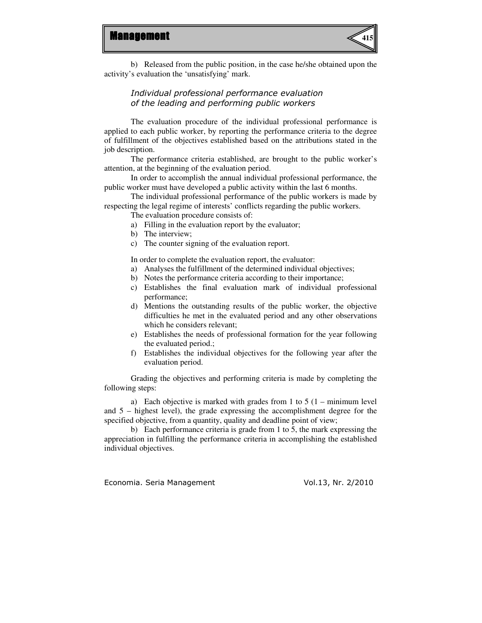

b) Released from the public position, in the case he/she obtained upon the activity's evaluation the 'unsatisfying' mark.

## Individual professional performance evaluation of the leading and performing public workers

The evaluation procedure of the individual professional performance is applied to each public worker, by reporting the performance criteria to the degree of fulfillment of the objectives established based on the attributions stated in the job description.

The performance criteria established, are brought to the public worker's attention, at the beginning of the evaluation period.

In order to accomplish the annual individual professional performance, the public worker must have developed a public activity within the last 6 months.

The individual professional performance of the public workers is made by respecting the legal regime of interests' conflicts regarding the public workers.

The evaluation procedure consists of:

- a) Filling in the evaluation report by the evaluator;
- b) The interview;
- c) The counter signing of the evaluation report.

In order to complete the evaluation report, the evaluator:

- a) Analyses the fulfillment of the determined individual objectives;
- b) Notes the performance criteria according to their importance;
- c) Establishes the final evaluation mark of individual professional performance;
- d) Mentions the outstanding results of the public worker, the objective difficulties he met in the evaluated period and any other observations which he considers relevant;
- e) Establishes the needs of professional formation for the year following the evaluated period.;
- f) Establishes the individual objectives for the following year after the evaluation period.

Grading the objectives and performing criteria is made by completing the following steps:

a) Each objective is marked with grades from 1 to 5  $(1 - \text{minimum level})$ and 5 – highest level), the grade expressing the accomplishment degree for the specified objective, from a quantity, quality and deadline point of view;

b) Each performance criteria is grade from 1 to 5, the mark expressing the appreciation in fulfilling the performance criteria in accomplishing the established individual objectives.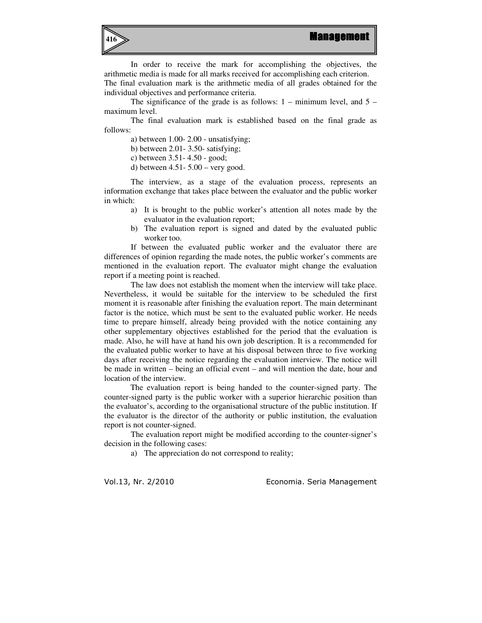

In order to receive the mark for accomplishing the objectives, the arithmetic media is made for all marks received for accomplishing each criterion. The final evaluation mark is the arithmetic media of all grades obtained for the individual objectives and performance criteria.

The significance of the grade is as follows:  $1 -$  minimum level, and  $5$ maximum level.

 The final evaluation mark is established based on the final grade as follows:

a) between 1.00- 2.00 - unsatisfying;

b) between 2.01- 3.50- satisfying;

c) between 3.51- 4.50 - good;

d) between 4.51- 5.00 – very good.

The interview, as a stage of the evaluation process, represents an information exchange that takes place between the evaluator and the public worker in which:

- a) It is brought to the public worker's attention all notes made by the evaluator in the evaluation report;
- b) The evaluation report is signed and dated by the evaluated public worker too.

If between the evaluated public worker and the evaluator there are differences of opinion regarding the made notes, the public worker's comments are mentioned in the evaluation report. The evaluator might change the evaluation report if a meeting point is reached.

 The law does not establish the moment when the interview will take place. Nevertheless, it would be suitable for the interview to be scheduled the first moment it is reasonable after finishing the evaluation report. The main determinant factor is the notice, which must be sent to the evaluated public worker. He needs time to prepare himself, already being provided with the notice containing any other supplementary objectives established for the period that the evaluation is made. Also, he will have at hand his own job description. It is a recommended for the evaluated public worker to have at his disposal between three to five working days after receiving the notice regarding the evaluation interview. The notice will be made in written – being an official event – and will mention the date, hour and location of the interview.

The evaluation report is being handed to the counter-signed party. The counter-signed party is the public worker with a superior hierarchic position than the evaluator's, according to the organisational structure of the public institution. If the evaluator is the director of the authority or public institution, the evaluation report is not counter-signed.

 The evaluation report might be modified according to the counter-signer's decision in the following cases:

a) The appreciation do not correspond to reality;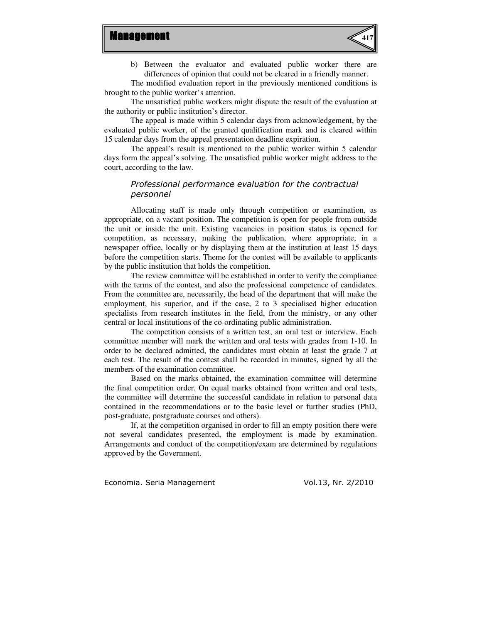

b) Between the evaluator and evaluated public worker there are differences of opinion that could not be cleared in a friendly manner.

 The modified evaluation report in the previously mentioned conditions is brought to the public worker's attention.

 The unsatisfied public workers might dispute the result of the evaluation at the authority or public institution's director.

The appeal is made within 5 calendar days from acknowledgement, by the evaluated public worker, of the granted qualification mark and is cleared within 15 calendar days from the appeal presentation deadline expiration.

 The appeal's result is mentioned to the public worker within 5 calendar days form the appeal's solving. The unsatisfied public worker might address to the court, according to the law.

## Professional performance evaluation for the contractual personnel

Allocating staff is made only through competition or examination, as appropriate, on a vacant position. The competition is open for people from outside the unit or inside the unit. Existing vacancies in position status is opened for competition, as necessary, making the publication, where appropriate, in a newspaper office, locally or by displaying them at the institution at least 15 days before the competition starts. Theme for the contest will be available to applicants by the public institution that holds the competition.

The review committee will be established in order to verify the compliance with the terms of the contest, and also the professional competence of candidates. From the committee are, necessarily, the head of the department that will make the employment, his superior, and if the case, 2 to 3 specialised higher education specialists from research institutes in the field, from the ministry, or any other central or local institutions of the co-ordinating public administration.

The competition consists of a written test, an oral test or interview. Each committee member will mark the written and oral tests with grades from 1-10. In order to be declared admitted, the candidates must obtain at least the grade 7 at each test. The result of the contest shall be recorded in minutes, signed by all the members of the examination committee.

Based on the marks obtained, the examination committee will determine the final competition order. On equal marks obtained from written and oral tests, the committee will determine the successful candidate in relation to personal data contained in the recommendations or to the basic level or further studies (PhD, post-graduate, postgraduate courses and others).

If, at the competition organised in order to fill an empty position there were not several candidates presented, the employment is made by examination. Arrangements and conduct of the competition/exam are determined by regulations approved by the Government.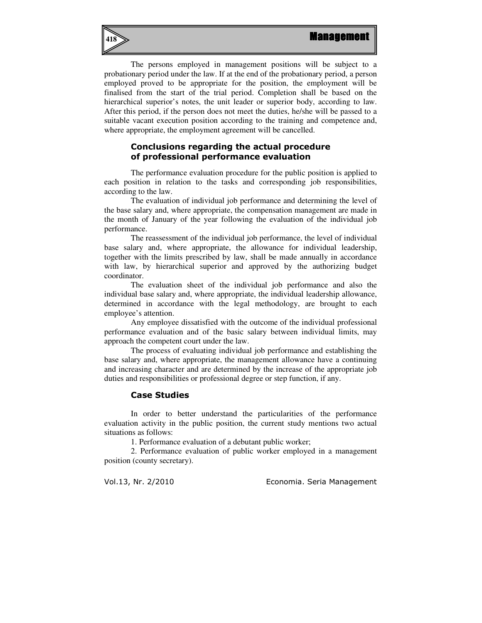

The persons employed in management positions will be subject to a probationary period under the law. If at the end of the probationary period, a person employed proved to be appropriate for the position, the employment will be finalised from the start of the trial period. Completion shall be based on the hierarchical superior's notes, the unit leader or superior body, according to law. After this period, if the person does not meet the duties, he/she will be passed to a suitable vacant execution position according to the training and competence and, where appropriate, the employment agreement will be cancelled.

## Conclusions regarding the actual procedure of professional performance evaluation

The performance evaluation procedure for the public position is applied to each position in relation to the tasks and corresponding job responsibilities, according to the law.

The evaluation of individual job performance and determining the level of the base salary and, where appropriate, the compensation management are made in the month of January of the year following the evaluation of the individual job performance.

 The reassessment of the individual job performance, the level of individual base salary and, where appropriate, the allowance for individual leadership, together with the limits prescribed by law, shall be made annually in accordance with law, by hierarchical superior and approved by the authorizing budget coordinator.

 The evaluation sheet of the individual job performance and also the individual base salary and, where appropriate, the individual leadership allowance, determined in accordance with the legal methodology, are brought to each employee's attention.

 Any employee dissatisfied with the outcome of the individual professional performance evaluation and of the basic salary between individual limits, may approach the competent court under the law.

 The process of evaluating individual job performance and establishing the base salary and, where appropriate, the management allowance have a continuing and increasing character and are determined by the increase of the appropriate job duties and responsibilities or professional degree or step function, if any.

### Case Studies

In order to better understand the particularities of the performance evaluation activity in the public position, the current study mentions two actual situations as follows:

1. Performance evaluation of a debutant public worker;

2. Performance evaluation of public worker employed in a management position (county secretary).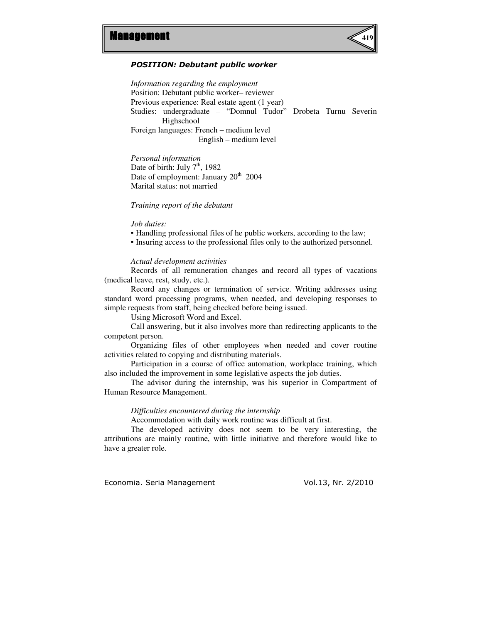

#### POSITION: Debutant public worker

*Information regarding the employment*  Position: Debutant public worker– reviewer Previous experience: Real estate agent (1 year) Studies: undergraduate – "Domnul Tudor" Drobeta Turnu Severin Highschool Foreign languages: French – medium level English – medium level

*Personal information*  Date of birth: July  $7<sup>th</sup>$ , 1982 Date of employment: January  $20^{th}$  2004 Marital status: not married

*Training report of the debutant* 

#### *Job duties:*

▪ Handling professional files of he public workers, according to the law;

▪ Insuring access to the professional files only to the authorized personnel.

#### *Actual development activities*

Records of all remuneration changes and record all types of vacations (medical leave, rest, study, etc.).

Record any changes or termination of service. Writing addresses using standard word processing programs, when needed, and developing responses to simple requests from staff, being checked before being issued.

Using Microsoft Word and Excel.

Call answering, but it also involves more than redirecting applicants to the competent person.

Organizing files of other employees when needed and cover routine activities related to copying and distributing materials.

Participation in a course of office automation, workplace training, which also included the improvement in some legislative aspects the job duties.

The advisor during the internship, was his superior in Compartment of Human Resource Management.

*Difficulties encountered during the internship* 

Accommodation with daily work routine was difficult at first.

The developed activity does not seem to be very interesting, the attributions are mainly routine, with little initiative and therefore would like to have a greater role.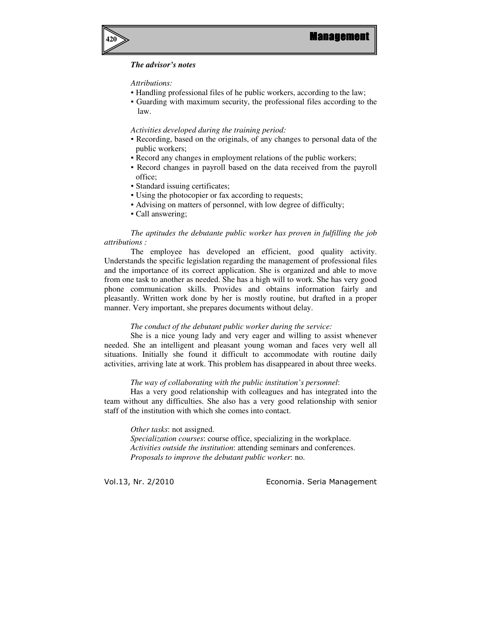

## *The advisor's notes*

#### *Attributions:*

- Handling professional files of he public workers, according to the law;
- Guarding with maximum security, the professional files according to the law.

*Activities developed during the training period:* 

- Recording, based on the originals, of any changes to personal data of the public workers;
- Record any changes in employment relations of the public workers;
- Record changes in payroll based on the data received from the payroll office;
- Standard issuing certificates;
- Using the photocopier or fax according to requests;
- Advising on matters of personnel, with low degree of difficulty;
- Call answering;

#### *The aptitudes the debutante public worker has proven in fulfilling the job attributions :*

The employee has developed an efficient, good quality activity. Understands the specific legislation regarding the management of professional files and the importance of its correct application. She is organized and able to move from one task to another as needed. She has a high will to work. She has very good phone communication skills. Provides and obtains information fairly and pleasantly. Written work done by her is mostly routine, but drafted in a proper manner. Very important, she prepares documents without delay.

#### *The conduct of the debutant public worker during the service:*

She is a nice young lady and very eager and willing to assist whenever needed. She an intelligent and pleasant young woman and faces very well all situations. Initially she found it difficult to accommodate with routine daily activities, arriving late at work. This problem has disappeared in about three weeks.

#### *The way of collaborating with the public institution's personnel*:

Has a very good relationship with colleagues and has integrated into the team without any difficulties. She also has a very good relationship with senior staff of the institution with which she comes into contact.

*Other tasks*: not assigned.

*Specialization courses*: course office, specializing in the workplace. *Activities outside the institution*: attending seminars and conferences. *Proposals to improve the debutant public worker*: no.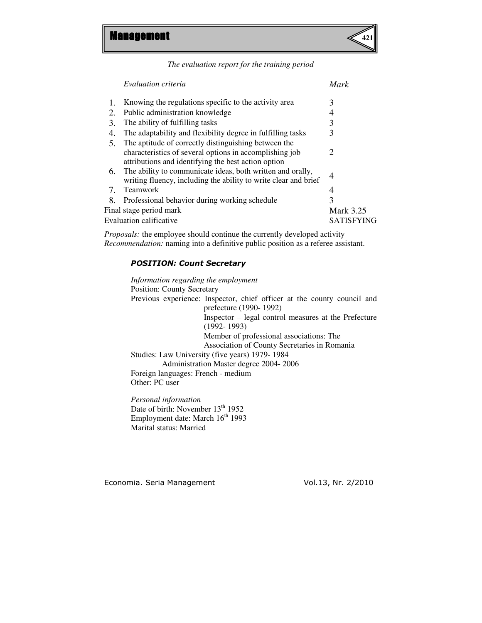

*The evaluation report for the training period* 

| Evaluation criteria                                                                                                                                                    | Mark             |
|------------------------------------------------------------------------------------------------------------------------------------------------------------------------|------------------|
| Knowing the regulations specific to the activity area                                                                                                                  | 3                |
| Public administration knowledge                                                                                                                                        | 4                |
| The ability of fulfilling tasks                                                                                                                                        | 3                |
| The adaptability and flexibility degree in fulfilling tasks                                                                                                            | 3                |
| The aptitude of correctly distinguishing between the<br>characteristics of several options in accomplishing job<br>attributions and identifying the best action option | 2                |
| The ability to communicate ideas, both written and orally,<br>writing fluency, including the ability to write clear and brief                                          | 4                |
| <b>Teamwork</b>                                                                                                                                                        | 4                |
| Professional behavior during working schedule                                                                                                                          | 3                |
| Final stage period mark                                                                                                                                                | <b>Mark 3.25</b> |
| Evaluation calificative                                                                                                                                                | SATISFYING       |
|                                                                                                                                                                        |                  |

*Proposals:* the employee should continue the currently developed activity *Recommendation:* naming into a definitive public position as a referee assistant.

## POSITION: Count Secretary

*Information regarding the employment*  Position: County Secretary Previous experience: Inspector, chief officer at the county council and prefecture (1990- 1992) Inspector – legal control measures at the Prefecture (1992- 1993) Member of professional associations: The Association of County Secretaries in Romania Studies: Law University (five years) 1979- 1984 Administration Master degree 2004- 2006 Foreign languages: French - medium Other: PC user

*Personal information*  Date of birth: November  $13<sup>th</sup> 1952$ Employment date: March  $16<sup>th</sup> 1993$ Marital status: Married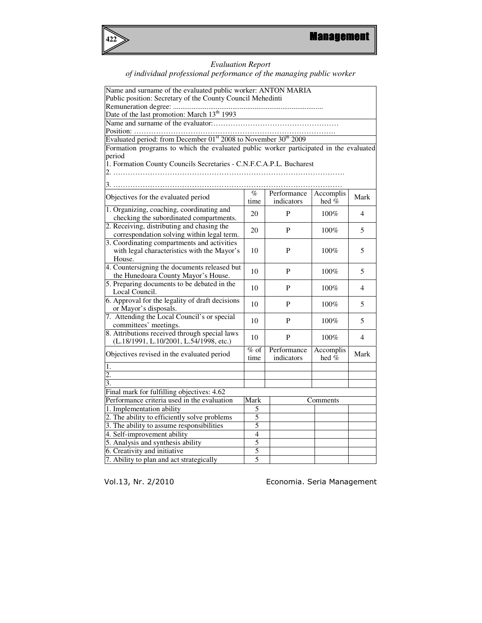

#### *Evaluation Report*

#### *of individual professional performance of the managing public worker*

| Name and surname of the evaluated public worker: ANTON MARIA                            |                      |              |           |                |  |  |
|-----------------------------------------------------------------------------------------|----------------------|--------------|-----------|----------------|--|--|
| Public position: Secretary of the County Council Mehedinti                              |                      |              |           |                |  |  |
|                                                                                         |                      |              |           |                |  |  |
| Date of the last promotion: March 13 <sup>th</sup> 1993                                 |                      |              |           |                |  |  |
|                                                                                         |                      |              |           |                |  |  |
| Position:                                                                               |                      |              |           |                |  |  |
| Evaluated period: from December 01 <sup>st</sup> 2008 to November 30 <sup>th</sup> 2009 |                      |              |           |                |  |  |
| Formation programs to which the evaluated public worker participated in the evaluated   |                      |              |           |                |  |  |
| period                                                                                  |                      |              |           |                |  |  |
| 1. Formation County Councils Secretaries - C.N.F.C.A.P.L. Bucharest                     |                      |              |           |                |  |  |
|                                                                                         |                      |              |           |                |  |  |
|                                                                                         |                      |              |           |                |  |  |
|                                                                                         | $\%$                 | Performance  | Accomplis |                |  |  |
| Objectives for the evaluated period                                                     | time                 | indicators   | hed %     | Mark           |  |  |
| 1. Organizing, coaching, coordinating and                                               |                      |              |           |                |  |  |
| checking the subordinated compartments.                                                 | 20                   | P            | 100%      | $\overline{4}$ |  |  |
| 2. Receiving, distributing and chasing the                                              |                      |              |           |                |  |  |
| correspondation solving within legal term.                                              | 20<br>P<br>5<br>100% |              |           |                |  |  |
| 3. Coordinating compartments and activities                                             |                      |              |           |                |  |  |
| with legal characteristics with the Mayor's                                             | 10                   | P            | 100%      | 5              |  |  |
| House.                                                                                  |                      |              |           |                |  |  |
| 4. Countersigning the documents released but                                            |                      | $\mathbf{P}$ |           |                |  |  |
| the Hunedoara County Mayor's House.                                                     | 10<br>100%<br>5      |              |           |                |  |  |
| 5. Preparing documents to be debated in the                                             | 10                   | P            | 100%      | 4              |  |  |
| Local Council.                                                                          |                      |              |           |                |  |  |
| 6. Approval for the legality of draft decisions                                         | 10                   | P            | 100%      | 5              |  |  |
| or Mayor's disposals.                                                                   |                      |              |           |                |  |  |
| 7. Attending the Local Council's or special                                             | 10                   | $\mathbf{P}$ | 100%      | 5              |  |  |
| committees' meetings.                                                                   |                      |              |           |                |  |  |
| 8. Attributions received through special laws                                           | 10                   | P            | 100%      | $\overline{4}$ |  |  |
| (L.18/1991, L.10/2001, L.54/1998, etc.)                                                 |                      |              |           |                |  |  |
| Objectives revised in the evaluated period                                              | $%$ of               | Performance  | Accomplis | Mark           |  |  |
| indicators<br>hed $%$<br>time                                                           |                      |              |           |                |  |  |
| 1.                                                                                      |                      |              |           |                |  |  |
| 2.                                                                                      |                      |              |           |                |  |  |
| $\overline{3}$ .                                                                        |                      |              |           |                |  |  |
| Final mark for fulfilling objectives: 4.62                                              |                      |              |           |                |  |  |
| Performance criteria used in the evaluation                                             | Mark                 |              | Comments  |                |  |  |
| 1. Implementation ability                                                               | 5                    |              |           |                |  |  |
| 2. The ability to efficiently solve problems                                            | 5                    |              |           |                |  |  |
| 3. The ability to assume responsibilities                                               | 5                    |              |           |                |  |  |
| $\overline{4}$<br>4. Self-improvement ability                                           |                      |              |           |                |  |  |
| $\overline{5}$<br>5. Analysis and synthesis ability                                     |                      |              |           |                |  |  |
| 6. Creativity and initiative                                                            | 5                    |              |           |                |  |  |
| 7. Ability to plan and act strategically                                                | 5                    |              |           |                |  |  |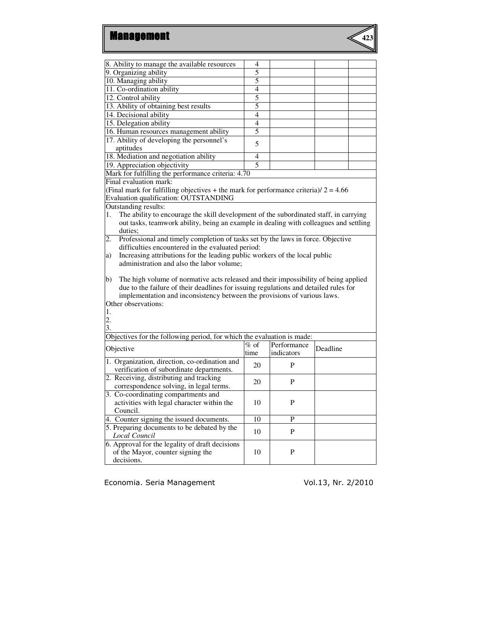

| 8. Ability to manage the available resources                                                | 4                                                                                     |             |          |  |
|---------------------------------------------------------------------------------------------|---------------------------------------------------------------------------------------|-------------|----------|--|
| 9. Organizing ability                                                                       | 5                                                                                     |             |          |  |
| 10. Managing ability                                                                        | 5                                                                                     |             |          |  |
| 11. Co-ordination ability                                                                   | 4                                                                                     |             |          |  |
| 12. Control ability                                                                         | $\overline{5}$                                                                        |             |          |  |
| 13. Ability of obtaining best results                                                       | 5                                                                                     |             |          |  |
| 14. Decisional ability                                                                      | 4                                                                                     |             |          |  |
| 15. Delegation ability                                                                      | 4                                                                                     |             |          |  |
| 16. Human resources management ability                                                      | 5                                                                                     |             |          |  |
| 17. Ability of developing the personnel's                                                   |                                                                                       |             |          |  |
| aptitudes                                                                                   | 5                                                                                     |             |          |  |
| 18. Mediation and negotiation ability                                                       | 4                                                                                     |             |          |  |
| 19. Appreciation objectivity                                                                | 5                                                                                     |             |          |  |
| Mark for fulfilling the performance criteria: 4.70                                          |                                                                                       |             |          |  |
| Final evaluation mark:                                                                      |                                                                                       |             |          |  |
| (Final mark for fulfilling objectives + the mark for performance criteria)/ $2 = 4.66$      |                                                                                       |             |          |  |
| Evaluation qualification: OUTSTANDING                                                       |                                                                                       |             |          |  |
|                                                                                             |                                                                                       |             |          |  |
| Outstanding results:                                                                        |                                                                                       |             |          |  |
| The ability to encourage the skill development of the subordinated staff, in carrying<br>1. |                                                                                       |             |          |  |
| out tasks, teamwork ability, being an example in dealing with colleagues and settling       |                                                                                       |             |          |  |
| duties:                                                                                     |                                                                                       |             |          |  |
|                                                                                             | Professional and timely completion of tasks set by the laws in force. Objective<br>2. |             |          |  |
| difficulties encountered in the evaluated period:                                           |                                                                                       |             |          |  |
|                                                                                             | Increasing attributions for the leading public workers of the local public<br>a)      |             |          |  |
| administration and also the labor volume:                                                   |                                                                                       |             |          |  |
|                                                                                             |                                                                                       |             |          |  |
| The high volume of normative acts released and their impossibility of being applied<br>b)   |                                                                                       |             |          |  |
| due to the failure of their deadlines for issuing regulations and detailed rules for        |                                                                                       |             |          |  |
| implementation and inconsistency between the provisions of various laws.                    |                                                                                       |             |          |  |
| Other observations:                                                                         |                                                                                       |             |          |  |
| 1.                                                                                          |                                                                                       |             |          |  |
| 2.                                                                                          |                                                                                       |             |          |  |
| 3.                                                                                          |                                                                                       |             |          |  |
| Objectives for the following period, for which the evaluation is made:                      |                                                                                       |             |          |  |
| Objective                                                                                   | $%$ of                                                                                | Performance | Deadline |  |
|                                                                                             | time                                                                                  | indicators  |          |  |
| 1. Organization, direction, co-ordination and                                               | 20                                                                                    | P           |          |  |
| verification of subordinate departments.                                                    |                                                                                       |             |          |  |
| 2. Receiving, distributing and tracking                                                     | 20                                                                                    | P           |          |  |
| correspondence solving, in legal terms.                                                     |                                                                                       |             |          |  |
| 3. Co-coordinating compartments and                                                         |                                                                                       |             |          |  |
| activities with legal character within the                                                  | 10                                                                                    | P           |          |  |
| Council.                                                                                    |                                                                                       |             |          |  |
| 4. Counter signing the issued documents.                                                    | 10                                                                                    | $\mathbf P$ |          |  |
| 5. Preparing documents to be debated by the                                                 |                                                                                       |             |          |  |
| <b>Local Council</b>                                                                        | 10                                                                                    | P           |          |  |
| 6. Approval for the legality of draft decisions                                             |                                                                                       |             |          |  |
|                                                                                             |                                                                                       |             |          |  |
| of the Mayor, counter signing the                                                           | 10                                                                                    | P           |          |  |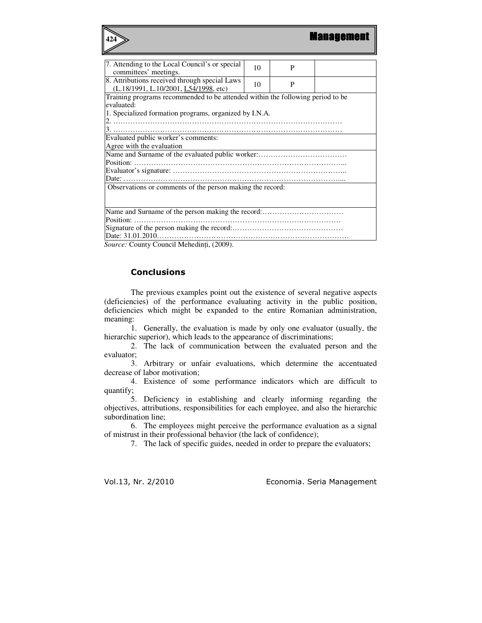| 424                                                                                    |    |   | <b>Management</b> |  |
|----------------------------------------------------------------------------------------|----|---|-------------------|--|
|                                                                                        |    |   |                   |  |
| 7. Attending to the Local Council's or special                                         | 10 | P |                   |  |
| committees' meetings.                                                                  |    |   |                   |  |
| 8. Attributions received through special Laws<br>(L.18/1991, L.10/2001, L54/1998, etc) | 10 | P |                   |  |
| Training programs recommended to be attended within the following period to be         |    |   |                   |  |
| evaluated:                                                                             |    |   |                   |  |
| 1. Specialized formation programs, organized by I.N.A.                                 |    |   |                   |  |
|                                                                                        |    |   |                   |  |
|                                                                                        |    |   |                   |  |
| Evaluated public worker's comments:                                                    |    |   |                   |  |
| Agree with the evaluation                                                              |    |   |                   |  |
|                                                                                        |    |   |                   |  |
|                                                                                        |    |   |                   |  |
|                                                                                        |    |   |                   |  |
|                                                                                        |    |   |                   |  |
| Observations or comments of the person making the record:                              |    |   |                   |  |
|                                                                                        |    |   |                   |  |
|                                                                                        |    |   |                   |  |
|                                                                                        |    |   |                   |  |
|                                                                                        |    |   |                   |  |
|                                                                                        |    |   |                   |  |
|                                                                                        |    |   |                   |  |

*Source:* County Council Mehedinţi, (2009).

## **Conclusions**

 The previous examples point out the existence of several negative aspects (deficiencies) of the performance evaluating activity in the public position, deficiencies which might be expanded to the entire Romanian administration, meaning:

1. Generally, the evaluation is made by only one evaluator (usually, the hierarchic superior), which leads to the appearance of discriminations;

2. The lack of communication between the evaluated person and the evaluator;

3. Arbitrary or unfair evaluations, which determine the accentuated decrease of labor motivation;

4. Existence of some performance indicators which are difficult to quantify;

5. Deficiency in establishing and clearly informing regarding the objectives, attributions, responsibilities for each employee, and also the hierarchic subordination line;

6. The employees might perceive the performance evaluation as a signal of mistrust in their professional behavior (the lack of confidence);

7. The lack of specific guides, needed in order to prepare the evaluators;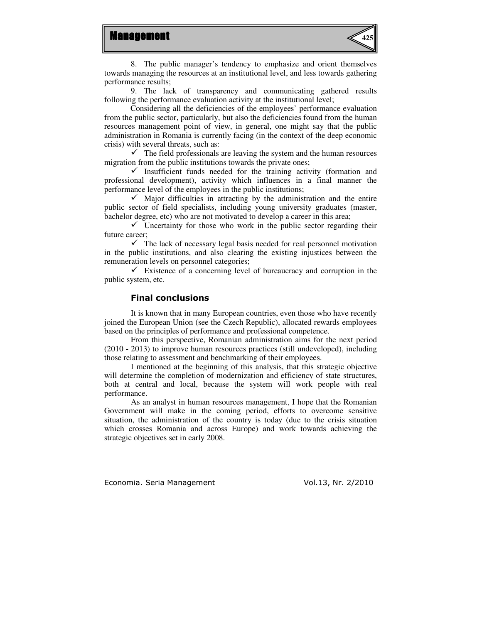



8. The public manager's tendency to emphasize and orient themselves towards managing the resources at an institutional level, and less towards gathering performance results;

9. The lack of transparency and communicating gathered results following the performance evaluation activity at the institutional level;

Considering all the deficiencies of the employees' performance evaluation from the public sector, particularly, but also the deficiencies found from the human resources management point of view, in general, one might say that the public administration in Romania is currently facing (in the context of the deep economic crisis) with several threats, such as:

 $\checkmark$  The field professionals are leaving the system and the human resources migration from the public institutions towards the private ones;

 $\checkmark$  Insufficient funds needed for the training activity (formation and professional development), activity which influences in a final manner the performance level of the employees in the public institutions;

 $\checkmark$  Major difficulties in attracting by the administration and the entire public sector of field specialists, including young university graduates (master, bachelor degree, etc) who are not motivated to develop a career in this area;

 $\checkmark$  Uncertainty for those who work in the public sector regarding their future career;

 $\checkmark$  The lack of necessary legal basis needed for real personnel motivation in the public institutions, and also clearing the existing injustices between the remuneration levels on personnel categories;

 $\checkmark$  Existence of a concerning level of bureaucracy and corruption in the public system, etc.

## Final conclusions

 It is known that in many European countries, even those who have recently joined the European Union (see the Czech Republic), allocated rewards employees based on the principles of performance and professional competence.

From this perspective, Romanian administration aims for the next period (2010 - 2013) to improve human resources practices (still undeveloped), including those relating to assessment and benchmarking of their employees.

I mentioned at the beginning of this analysis, that this strategic objective will determine the completion of modernization and efficiency of state structures, both at central and local, because the system will work people with real performance.

As an analyst in human resources management, I hope that the Romanian Government will make in the coming period, efforts to overcome sensitive situation, the administration of the country is today (due to the crisis situation which crosses Romania and across Europe) and work towards achieving the strategic objectives set in early 2008.